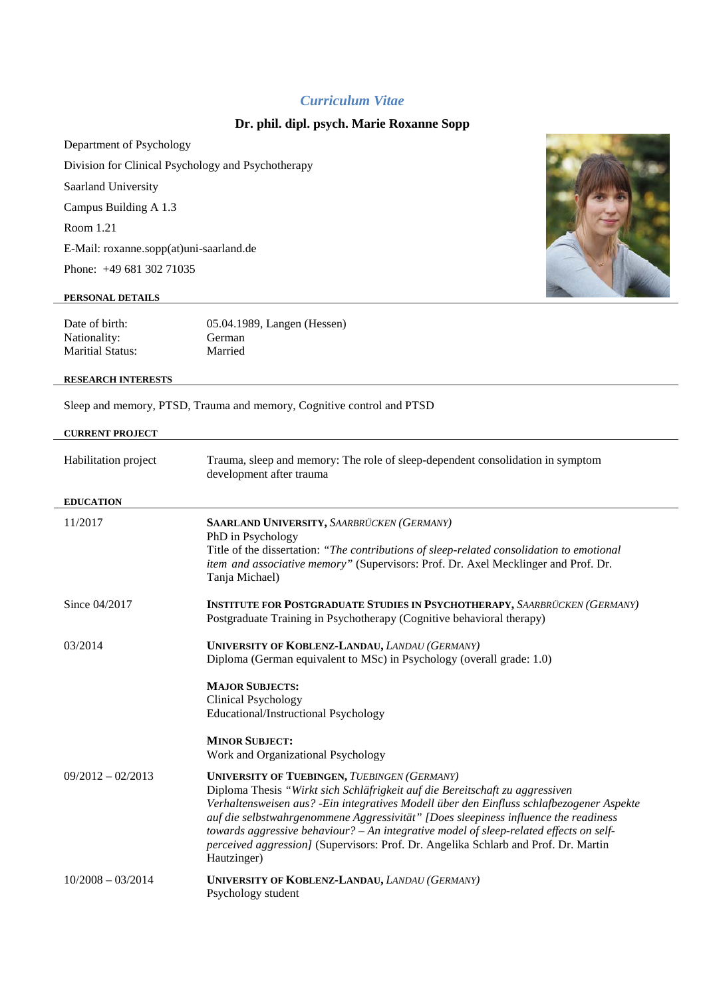# *Curriculum Vitae*

# **Dr. phil. dipl. psych. Marie Roxanne Sopp**

Department of Psychology Division for Clinical Psychology and Psychotherapy Saarland University Campus Building A 1.3 Room 1.21 E-Mail: roxanne.sopp(at)uni-saarland.de

Phone: +49 681 302 71035

#### **PERSONAL DETAILS**

| Date of birth:   | 05.04.1989, Langen (Hessen) |
|------------------|-----------------------------|
| Nationality:     | German                      |
| Maritial Status: | Married                     |

#### **RESEARCH INTERESTS**

Sleep and memory, PTSD, Trauma and memory, Cognitive control and PTSD

## **CURRENT PROJECT**

| Habilitation project | Trauma, sleep and memory: The role of sleep-dependent consolidation in symptom<br>development after trauma                                                                                                                                                                                                                                                                                                                                                                                                                |
|----------------------|---------------------------------------------------------------------------------------------------------------------------------------------------------------------------------------------------------------------------------------------------------------------------------------------------------------------------------------------------------------------------------------------------------------------------------------------------------------------------------------------------------------------------|
| <b>EDUCATION</b>     |                                                                                                                                                                                                                                                                                                                                                                                                                                                                                                                           |
| 11/2017              | SAARLAND UNIVERSITY, SAARBRÜCKEN (GERMANY)<br>PhD in Psychology<br>Title of the dissertation: "The contributions of sleep-related consolidation to emotional<br>item and associative memory" (Supervisors: Prof. Dr. Axel Mecklinger and Prof. Dr.<br>Tanja Michael)                                                                                                                                                                                                                                                      |
| Since 04/2017        | <b>INSTITUTE FOR POSTGRADUATE STUDIES IN PSYCHOTHERAPY, SAARBRÜCKEN (GERMANY)</b><br>Postgraduate Training in Psychotherapy (Cognitive behavioral therapy)                                                                                                                                                                                                                                                                                                                                                                |
| 03/2014              | UNIVERSITY OF KOBLENZ-LANDAU, LANDAU (GERMANY)<br>Diploma (German equivalent to MSc) in Psychology (overall grade: 1.0)                                                                                                                                                                                                                                                                                                                                                                                                   |
|                      | <b>MAJOR SUBJECTS:</b><br><b>Clinical Psychology</b><br>Educational/Instructional Psychology                                                                                                                                                                                                                                                                                                                                                                                                                              |
|                      | <b>MINOR SUBJECT:</b><br>Work and Organizational Psychology                                                                                                                                                                                                                                                                                                                                                                                                                                                               |
| $09/2012 - 02/2013$  | <b>UNIVERSITY OF TUEBINGEN, TUEBINGEN (GERMANY)</b><br>Diploma Thesis "Wirkt sich Schläfrigkeit auf die Bereitschaft zu aggressiven<br>Verhaltensweisen aus? - Ein integratives Modell über den Einfluss schlafbezogener Aspekte<br>auf die selbstwahrgenommene Aggressivität" [Does sleepiness influence the readiness<br>towards aggressive behaviour? $- An$ integrative model of sleep-related effects on self-<br>perceived aggression] (Supervisors: Prof. Dr. Angelika Schlarb and Prof. Dr. Martin<br>Hautzinger) |
| $10/2008 - 03/2014$  | <b>UNIVERSITY OF KOBLENZ-LANDAU, LANDAU (GERMANY)</b><br>Psychology student                                                                                                                                                                                                                                                                                                                                                                                                                                               |

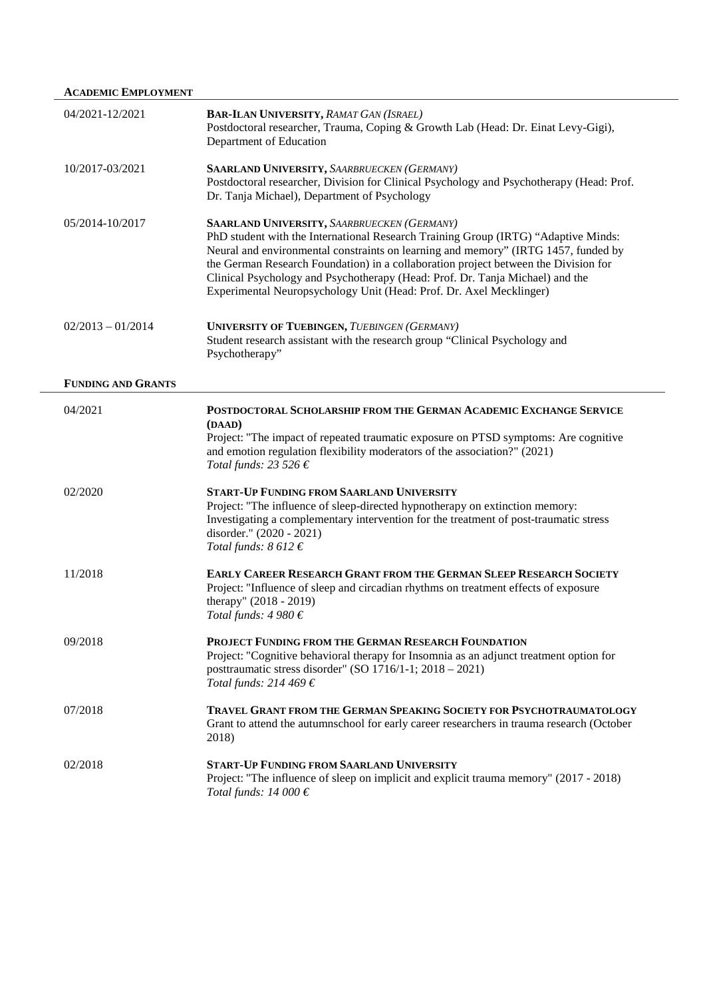|                           | <b>ACADEMIC EMPLOYMENT</b>                                                                                                                                                                                                                                                                                                                                                                                                                                                    |  |
|---------------------------|-------------------------------------------------------------------------------------------------------------------------------------------------------------------------------------------------------------------------------------------------------------------------------------------------------------------------------------------------------------------------------------------------------------------------------------------------------------------------------|--|
| 04/2021-12/2021           | BAR-ILAN UNIVERSITY, RAMAT GAN (ISRAEL)<br>Postdoctoral researcher, Trauma, Coping & Growth Lab (Head: Dr. Einat Levy-Gigi),<br>Department of Education                                                                                                                                                                                                                                                                                                                       |  |
| 10/2017-03/2021           | <b>SAARLAND UNIVERSITY, SAARBRUECKEN (GERMANY)</b><br>Postdoctoral researcher, Division for Clinical Psychology and Psychotherapy (Head: Prof.<br>Dr. Tanja Michael), Department of Psychology                                                                                                                                                                                                                                                                                |  |
| 05/2014-10/2017           | <b>SAARLAND UNIVERSITY, SAARBRUECKEN (GERMANY)</b><br>PhD student with the International Research Training Group (IRTG) "Adaptive Minds:<br>Neural and environmental constraints on learning and memory" (IRTG 1457, funded by<br>the German Research Foundation) in a collaboration project between the Division for<br>Clinical Psychology and Psychotherapy (Head: Prof. Dr. Tanja Michael) and the<br>Experimental Neuropsychology Unit (Head: Prof. Dr. Axel Mecklinger) |  |
| $02/2013 - 01/2014$       | <b>UNIVERSITY OF TUEBINGEN, TUEBINGEN (GERMANY)</b><br>Student research assistant with the research group "Clinical Psychology and<br>Psychotherapy"                                                                                                                                                                                                                                                                                                                          |  |
| <b>FUNDING AND GRANTS</b> |                                                                                                                                                                                                                                                                                                                                                                                                                                                                               |  |
| 04/2021                   | POSTDOCTORAL SCHOLARSHIP FROM THE GERMAN ACADEMIC EXCHANGE SERVICE<br>(DAAD)<br>Project: "The impact of repeated traumatic exposure on PTSD symptoms: Are cognitive<br>and emotion regulation flexibility moderators of the association?" (2021)<br>Total funds: 23 526 €                                                                                                                                                                                                     |  |
| 02/2020                   | <b>START-UP FUNDING FROM SAARLAND UNIVERSITY</b><br>Project: "The influence of sleep-directed hypnotherapy on extinction memory:<br>Investigating a complementary intervention for the treatment of post-traumatic stress<br>disorder." (2020 - 2021)<br>Total funds: $8612 \in$                                                                                                                                                                                              |  |
| 11/2018                   | <b>EARLY CAREER RESEARCH GRANT FROM THE GERMAN SLEEP RESEARCH SOCIETY</b><br>Project: "Influence of sleep and circadian rhythms on treatment effects of exposure<br>therapy" (2018 - 2019)<br>Total funds: $4980 \in$                                                                                                                                                                                                                                                         |  |
| 09/2018                   | PROJECT FUNDING FROM THE GERMAN RESEARCH FOUNDATION<br>Project: "Cognitive behavioral therapy for Insomnia as an adjunct treatment option for<br>posttraumatic stress disorder" (SO 1716/1-1; 2018 - 2021)<br>Total funds: 214 469 $\in$                                                                                                                                                                                                                                      |  |
| 07/2018                   | <b>TRAVEL GRANT FROM THE GERMAN SPEAKING SOCIETY FOR PSYCHOTRAUMATOLOGY</b><br>Grant to attend the autumnschool for early career researchers in trauma research (October<br>2018)                                                                                                                                                                                                                                                                                             |  |
| 02/2018                   | <b>START-UP FUNDING FROM SAARLAND UNIVERSITY</b><br>Project: "The influence of sleep on implicit and explicit trauma memory" (2017 - 2018)<br>Total funds: 14 000 $\epsilon$                                                                                                                                                                                                                                                                                                  |  |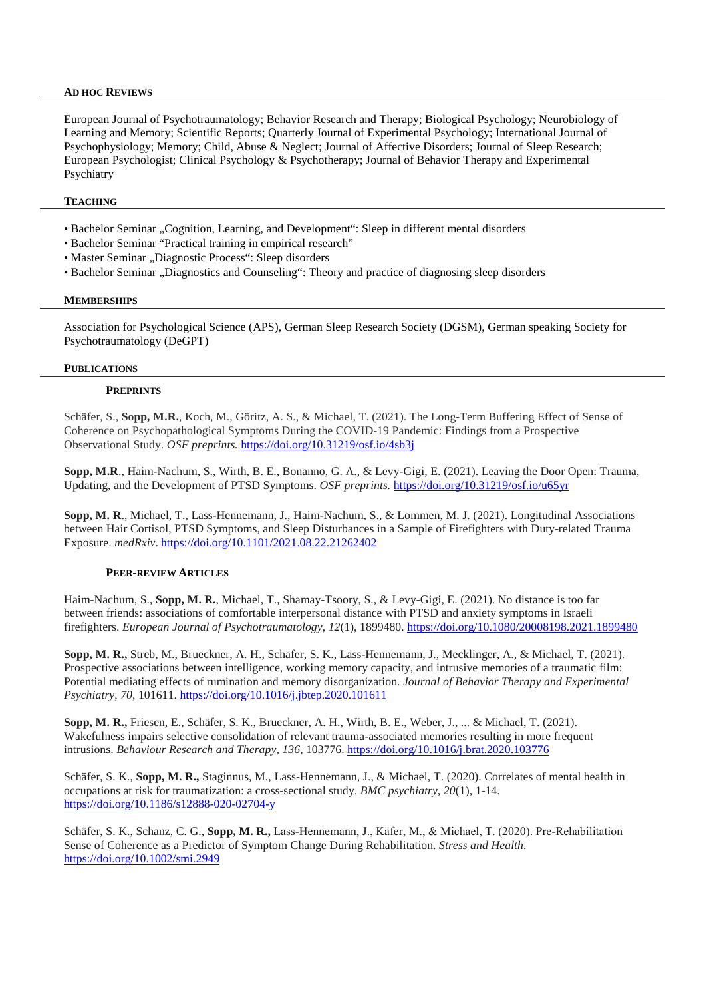### **AD HOC REVIEWS**

European Journal of Psychotraumatology; Behavior Research and Therapy; Biological Psychology; Neurobiology of Learning and Memory; Scientific Reports; Quarterly Journal of Experimental Psychology; International Journal of Psychophysiology; Memory; Child, Abuse & Neglect; Journal of Affective Disorders; Journal of Sleep Research; European Psychologist; Clinical Psychology & Psychotherapy; Journal of Behavior Therapy and Experimental Psychiatry

## **TEACHING**

- Bachelor Seminar "Cognition, Learning, and Development": Sleep in different mental disorders
- Bachelor Seminar "Practical training in empirical research"
- Master Seminar "Diagnostic Process": Sleep disorders
- Bachelor Seminar "Diagnostics and Counseling": Theory and practice of diagnosing sleep disorders

#### **MEMBERSHIPS**

Association for Psychological Science (APS), German Sleep Research Society (DGSM), German speaking Society for Psychotraumatology (DeGPT)

#### **PUBLICATIONS**

#### **PREPRINTS**

Schäfer, S., **Sopp, M.R.**, Koch, M., Göritz, A. S., & Michael, T. (2021). The Long-Term Buffering Effect of Sense of Coherence on Psychopathological Symptoms During the COVID-19 Pandemic: Findings from a Prospective Observational Study. *OSF preprints.* <https://doi.org/10.31219/osf.io/4sb3j>

**Sopp, M.R**., Haim-Nachum, S., Wirth, B. E., Bonanno, G. A., & Levy-Gigi, E. (2021). Leaving the Door Open: Trauma, Updating, and the Development of PTSD Symptoms. *OSF preprints.* <https://doi.org/10.31219/osf.io/u65yr>

**Sopp, M. R**., Michael, T., Lass-Hennemann, J., Haim-Nachum, S., & Lommen, M. J. (2021). Longitudinal Associations between Hair Cortisol, PTSD Symptoms, and Sleep Disturbances in a Sample of Firefighters with Duty-related Trauma Exposure. *medRxiv*. <https://doi.org/10.1101/2021.08.22.21262402>

#### **PEER-REVIEW ARTICLES**

Haim-Nachum, S., **Sopp, M. R.**, Michael, T., Shamay-Tsoory, S., & Levy-Gigi, E. (2021). No distance is too far between friends: associations of comfortable interpersonal distance with PTSD and anxiety symptoms in Israeli firefighters. *European Journal of Psychotraumatology*, *12*(1), 1899480. <https://doi.org/10.1080/20008198.2021.1899480>

**Sopp, M. R.,** Streb, M., Brueckner, A. H., Schäfer, S. K., Lass-Hennemann, J., Mecklinger, A., & Michael, T. (2021). Prospective associations between intelligence, working memory capacity, and intrusive memories of a traumatic film: Potential mediating effects of rumination and memory disorganization. *Journal of Behavior Therapy and Experimental Psychiatry*, *70*, 101611. <https://doi.org/10.1016/j.jbtep.2020.101611>

**Sopp, M. R.,** Friesen, E., Schäfer, S. K., Brueckner, A. H., Wirth, B. E., Weber, J., ... & Michael, T. (2021). Wakefulness impairs selective consolidation of relevant trauma-associated memories resulting in more frequent intrusions. *Behaviour Research and Therapy*, *136*, 103776. <https://doi.org/10.1016/j.brat.2020.103776>

Schäfer, S. K., **Sopp, M. R.,** Staginnus, M., Lass-Hennemann, J., & Michael, T. (2020). Correlates of mental health in occupations at risk for traumatization: a cross-sectional study. *BMC psychiatry*, *20*(1), 1-14. <https://doi.org/10.1186/s12888-020-02704-y>

Schäfer, S. K., Schanz, C. G., Sopp, M. R., Lass-Hennemann, J., Käfer, M., & Michael, T. (2020). Pre-Rehabilitation Sense of Coherence as a Predictor of Symptom Change During Rehabilitation. *Stress and Health*. <https://doi.org/10.1002/smi.2949>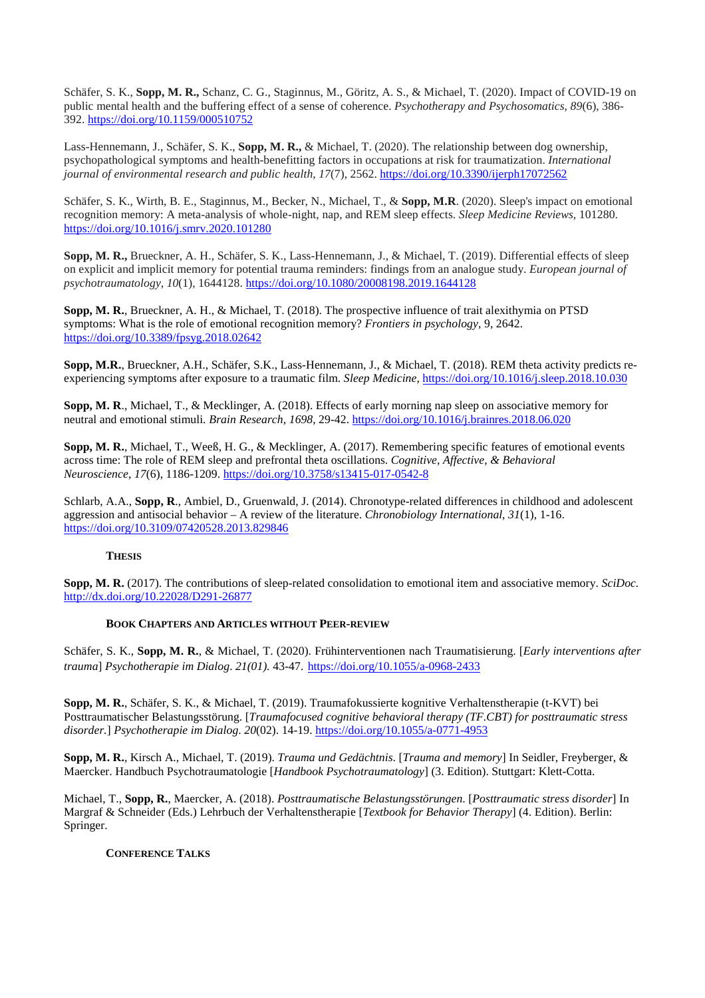Schäfer, S. K., **Sopp, M. R.,** Schanz, C. G., Staginnus, M., Göritz, A. S., & Michael, T. (2020). Impact of COVID-19 on public mental health and the buffering effect of a sense of coherence. *Psychotherapy and Psychosomatics*, *89*(6), 386- 392. <https://doi.org/10.1159/000510752>

Lass-Hennemann, J., Schäfer, S. K., **Sopp, M. R.,** & Michael, T. (2020). The relationship between dog ownership, psychopathological symptoms and health-benefitting factors in occupations at risk for traumatization. *International journal of environmental research and public health*, *17*(7), 2562. <https://doi.org/10.3390/ijerph17072562>

Schäfer, S. K., Wirth, B. E., Staginnus, M., Becker, N., Michael, T., & **Sopp, M.R**. (2020). Sleep's impact on emotional recognition memory: A meta-analysis of whole-night, nap, and REM sleep effects. *Sleep Medicine Reviews*, 101280. <https://doi.org/10.1016/j.smrv.2020.101280>

**Sopp, M. R.,** Brueckner, A. H., Schäfer, S. K., Lass-Hennemann, J., & Michael, T. (2019). Differential effects of sleep on explicit and implicit memory for potential trauma reminders: findings from an analogue study. *European journal of psychotraumatology*, *10*(1), 1644128. <https://doi.org/10.1080/20008198.2019.1644128>

**Sopp, M. R.**, Brueckner, A. H., & Michael, T. (2018). The prospective influence of trait alexithymia on PTSD symptoms: What is the role of emotional recognition memory? *Frontiers in psychology*, 9, 2642. <https://doi.org/10.3389/fpsyg.2018.02642>

**Sopp, M.R.**, Brueckner, A.H., Schäfer, S.K., Lass-Hennemann, J., & Michael, T. (2018). REM theta activity predicts reexperiencing symptoms after exposure to a traumatic film. *Sleep Medicine*[, https://doi.org/10.1016/j.sleep.2018.10.030](https://doi.org/10.1016/j.sleep.2018.10.030) 

**Sopp, M. R**., Michael, T., & Mecklinger, A. (2018). Effects of early morning nap sleep on associative memory for neutral and emotional stimuli. *Brain Research*, *1698*, 29-42. <https://doi.org/10.1016/j.brainres.2018.06.020>

**Sopp, M. R.**, Michael, T., Weeß, H. G., & Mecklinger, A. (2017). Remembering specific features of emotional events across time: The role of REM sleep and prefrontal theta oscillations. *Cognitive, Affective, & Behavioral Neuroscience*, *17*(6), 1186-1209.<https://doi.org/10.3758/s13415-017-0542-8>

Schlarb, A.A., **Sopp, R**., Ambiel, D., Gruenwald, J. (2014). Chronotype-related differences in childhood and adolescent aggression and antisocial behavior – A review of the literature. *Chronobiology International*, *31*(1), 1-16. <https://doi.org/10.3109/07420528.2013.829846>

## **THESIS**

**Sopp, M. R.** (2017). The contributions of sleep-related consolidation to emotional item and associative memory. *SciDoc.*  <http://dx.doi.org/10.22028/D291-26877>

#### **BOOK CHAPTERS AND ARTICLES WITHOUT PEER-REVIEW**

Schäfer, S. K., **Sopp, M. R.**, & Michael, T. (2020). Frühinterventionen nach Traumatisierung. [*Early interventions after trauma*] *Psychotherapie im Dialog*. *21(01).* 43-47. <https://doi.org/10.1055/a-0968-2433>

**Sopp, M. R.**, Schäfer, S. K., & Michael, T. (2019). Traumafokussierte kognitive Verhaltenstherapie (t-KVT) bei Posttraumatischer Belastungsstörung. [*Traumafocused cognitive behavioral therapy (TF.CBT) for posttraumatic stress disorder.*] *Psychotherapie im Dialog*. *20*(02). 14-19. https://doi.org/10.1055/a-0771-4953

**Sopp, M. R.**, Kirsch A., Michael, T. (2019). *Trauma und Gedächtnis*. [*Trauma and memory*] In Seidler, Freyberger, & Maercker. Handbuch Psychotraumatologie [*Handbook Psychotraumatology*] (3. Edition). Stuttgart: Klett-Cotta.

Michael, T., **Sopp, R.**, Maercker, A. (2018). *Posttraumatische Belastungsstörungen*. [*Posttraumatic stress disorder*] In Margraf & Schneider (Eds.) Lehrbuch der Verhaltenstherapie [*Textbook for Behavior Therapy*] (4. Edition). Berlin: Springer.

### **CONFERENCE TALKS**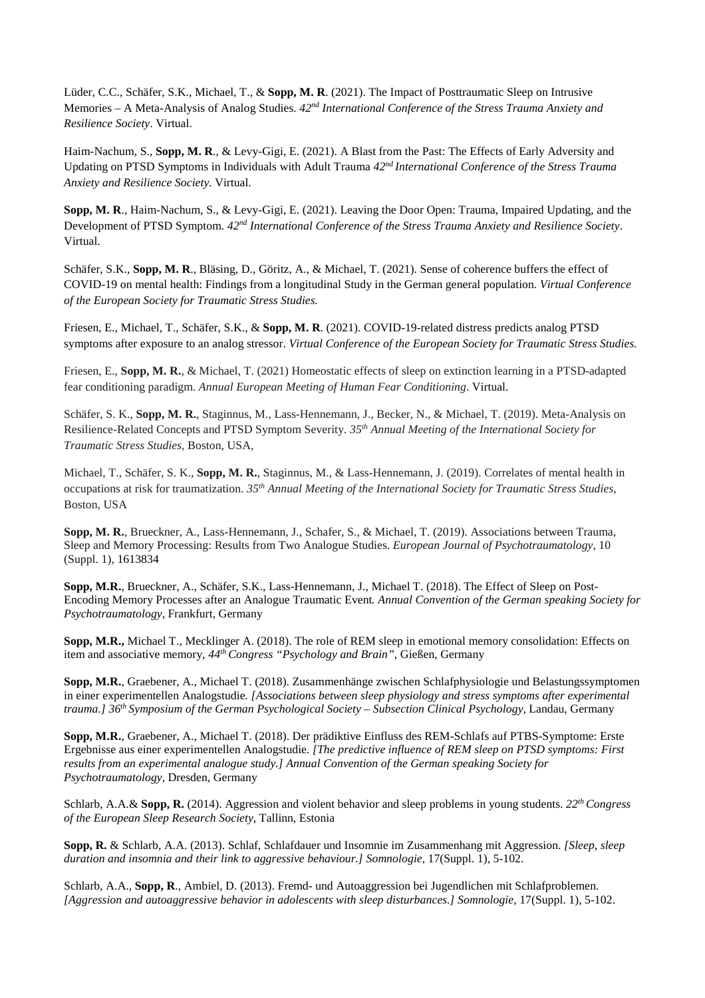Lüder, C.C., Schäfer, S.K., Michael, T., & **Sopp, M. R**. (2021). The Impact of Posttraumatic Sleep on Intrusive Memories – A Meta-Analysis of Analog Studies. *42nd International Conference of the Stress Trauma Anxiety and Resilience Society*. Virtual.

Haim-Nachum, S., **Sopp, M. R**., & Levy-Gigi, E. (2021). A Blast from the Past: The Effects of Early Adversity and Updating on PTSD Symptoms in Individuals with Adult Trauma *42nd International Conference of the Stress Trauma Anxiety and Resilience Society*. Virtual.

**Sopp, M. R**., Haim-Nachum, S., & Levy-Gigi, E. (2021). Leaving the Door Open: Trauma, Impaired Updating, and the Development of PTSD Symptom. *42nd International Conference of the Stress Trauma Anxiety and Resilience Society*. Virtual.

Schäfer, S.K., **Sopp, M. R**., Bläsing, D., Göritz, A., & Michael, T. (2021). Sense of coherence buffers the effect of COVID-19 on mental health: Findings from a longitudinal Study in the German general population. *Virtual Conference of the European Society for Traumatic Stress Studies.*

Friesen, E., Michael, T., Schäfer, S.K., & **Sopp, M. R**. (2021). COVID-19-related distress predicts analog PTSD symptoms after exposure to an analog stressor. *Virtual Conference of the European Society for Traumatic Stress Studies.*

Friesen, E., **Sopp, M. R.**, & Michael, T. (2021) Homeostatic effects of sleep on extinction learning in a PTSD-adapted fear conditioning paradigm. *Annual European Meeting of Human Fear Conditioning*. Virtual.

Schäfer, S. K., **Sopp, M. R.**, Staginnus, M., Lass-Hennemann, J., Becker, N., & Michael, T. (2019). Meta-Analysis on Resilience-Related Concepts and PTSD Symptom Severity. *35th Annual Meeting of the International Society for Traumatic Stress Studies,* Boston, USA,

Michael, T., Schäfer, S. K., **Sopp, M. R.**, Staginnus, M., & Lass-Hennemann, J. (2019). Correlates of mental health in occupations at risk for traumatization. *35th Annual Meeting of the International Society for Traumatic Stress Studies*, Boston, USA

**Sopp, M. R.**, Brueckner, A., Lass-Hennemann, J., Schafer, S., & Michael, T. (2019). Associations between Trauma, Sleep and Memory Processing: Results from Two Analogue Studies. *European Journal of Psychotraumatology*, 10 (Suppl. 1), 1613834

**Sopp, M.R.**, Brueckner, A., Schäfer, S.K., Lass-Hennemann, J., Michael T. (2018). The Effect of Sleep on Post-Encoding Memory Processes after an Analogue Traumatic Event*. Annual Convention of the German speaking Society for Psychotraumatology,* Frankfurt, Germany

**Sopp, M.R.,** Michael T., Mecklinger A. (2018). The role of REM sleep in emotional memory consolidation: Effects on item and associative memory, *44th Congress "Psychology and Brain",* Gießen, Germany

**Sopp, M.R.**, Graebener, A., Michael T. (2018). Zusammenhänge zwischen Schlafphysiologie und Belastungssymptomen in einer experimentellen Analogstudie*. [Associations between sleep physiology and stress symptoms after experimental trauma.] 36th Symposium of the German Psychological Society – Subsection Clinical Psychology,* Landau, Germany

**Sopp, M.R.**, Graebener, A., Michael T. (2018). Der prädiktive Einfluss des REM-Schlafs auf PTBS-Symptome: Erste Ergebnisse aus einer experimentellen Analogstudie*. [The predictive influence of REM sleep on PTSD symptoms: First results from an experimental analogue study.] Annual Convention of the German speaking Society for Psychotraumatology,* Dresden, Germany

Schlarb, A.A.& **Sopp, R.** (2014). Aggression and violent behavior and sleep problems in young students. *22th Congress of the European Sleep Research Society*, Tallinn, Estonia

**Sopp, R.** & Schlarb, A.A. (2013). Schlaf, Schlafdauer und Insomnie im Zusammenhang mit Aggression. *[Sleep, sleep duration and insomnia and their link to aggressive behaviour.] Somnologie*, 17(Suppl. 1), 5-102.

Schlarb, A.A., **Sopp, R**., Ambiel, D. (2013). Fremd- und Autoaggression bei Jugendlichen mit Schlafproblemen. *[Aggression and autoaggressive behavior in adolescents with sleep disturbances.] Somnologie*, 17(Suppl. 1), 5-102.